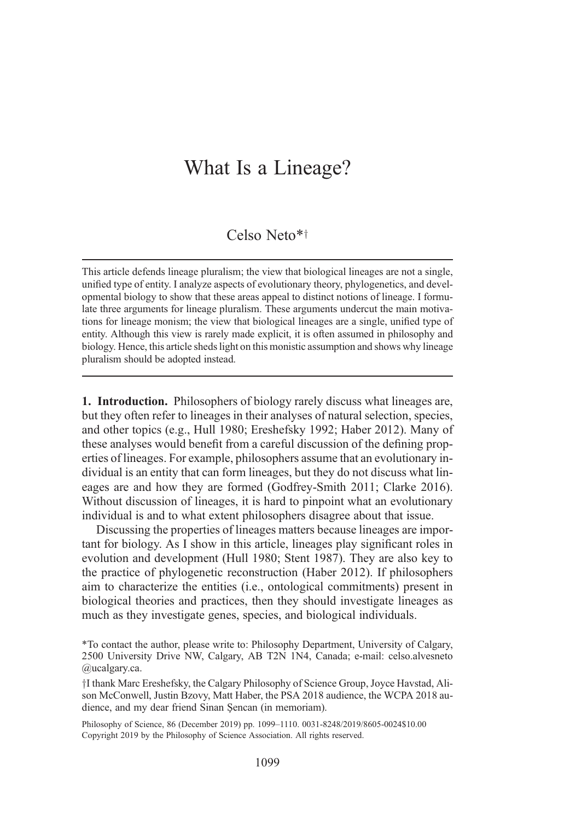# What Is a Lineage?

# Celso Neto\*<sup>†</sup>

This article defends lineage pluralism; the view that biological lineages are not a single, unified type of entity. I analyze aspects of evolutionary theory, phylogenetics, and developmental biology to show that these areas appeal to distinct notions of lineage. I formulate three arguments for lineage pluralism. These arguments undercut the main motivations for lineage monism; the view that biological lineages are a single, unified type of entity. Although this view is rarely made explicit, it is often assumed in philosophy and biology. Hence, this article sheds light on this monistic assumption and shows why lineage pluralism should be adopted instead.

1. Introduction. Philosophers of biology rarely discuss what lineages are, but they often refer to lineages in their analyses of natural selection, species, and other topics (e.g., Hull 1980; Ereshefsky 1992; Haber 2012). Many of these analyses would benefit from a careful discussion of the defining properties of lineages. For example, philosophers assume that an evolutionary individual is an entity that can form lineages, but they do not discuss what lineages are and how they are formed (Godfrey-Smith 2011; Clarke 2016). Without discussion of lineages, it is hard to pinpoint what an evolutionary individual is and to what extent philosophers disagree about that issue.

Discussing the properties of lineages matters because lineages are important for biology. As I show in this article, lineages play significant roles in evolution and development (Hull 1980; Stent 1987). They are also key to the practice of phylogenetic reconstruction (Haber 2012). If philosophers aim to characterize the entities (i.e., ontological commitments) present in biological theories and practices, then they should investigate lineages as much as they investigate genes, species, and biological individuals.

\*To contact the author, please write to: Philosophy Department, University of Calgary, 2500 University Drive NW, Calgary, AB T2N 1N4, Canada; e-mail: celso.alvesneto @ucalgary.ca.

<sup>†</sup>I thank Marc Ereshefsky, the Calgary Philosophy of Science Group, Joyce Havstad, Alison McConwell, Justin Bzovy, Matt Haber, the PSA 2018 audience, the WCPA 2018 audience, and my dear friend Sinan Şencan (in memoriam).

Philosophy of Science, 86 (December 2019) pp. 1099–1110. 0031-8248/2019/8605-0024\$10.00 Copyright 2019 by the Philosophy of Science Association. All rights reserved.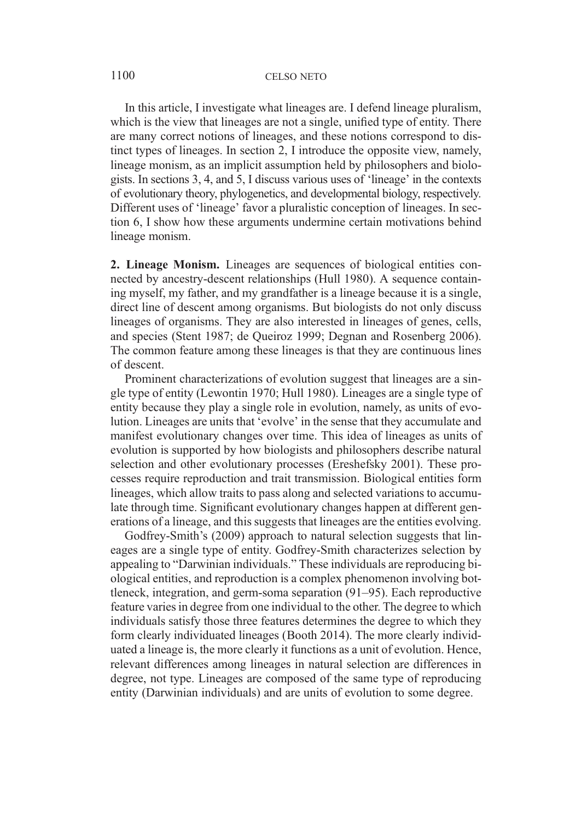### 1100 CELSO NETO

In this article, I investigate what lineages are. I defend lineage pluralism, which is the view that lineages are not a single, unified type of entity. There are many correct notions of lineages, and these notions correspond to distinct types of lineages. In section 2, I introduce the opposite view, namely, lineage monism, as an implicit assumption held by philosophers and biologists. In sections 3, 4, and 5, I discuss various uses of 'lineage' in the contexts of evolutionary theory, phylogenetics, and developmental biology, respectively. Different uses of 'lineage' favor a pluralistic conception of lineages. In section 6, I show how these arguments undermine certain motivations behind lineage monism.

2. Lineage Monism. Lineages are sequences of biological entities connected by ancestry-descent relationships (Hull 1980). A sequence containing myself, my father, and my grandfather is a lineage because it is a single, direct line of descent among organisms. But biologists do not only discuss lineages of organisms. They are also interested in lineages of genes, cells, and species (Stent 1987; de Queiroz 1999; Degnan and Rosenberg 2006). The common feature among these lineages is that they are continuous lines of descent.

Prominent characterizations of evolution suggest that lineages are a single type of entity (Lewontin 1970; Hull 1980). Lineages are a single type of entity because they play a single role in evolution, namely, as units of evolution. Lineages are units that 'evolve' in the sense that they accumulate and manifest evolutionary changes over time. This idea of lineages as units of evolution is supported by how biologists and philosophers describe natural selection and other evolutionary processes (Ereshefsky 2001). These processes require reproduction and trait transmission. Biological entities form lineages, which allow traits to pass along and selected variations to accumulate through time. Significant evolutionary changes happen at different generations of a lineage, and this suggests that lineages are the entities evolving.

Godfrey-Smith's (2009) approach to natural selection suggests that lineages are a single type of entity. Godfrey-Smith characterizes selection by appealing to "Darwinian individuals." These individuals are reproducing biological entities, and reproduction is a complex phenomenon involving bottleneck, integration, and germ-soma separation (91–95). Each reproductive feature varies in degree from one individual to the other. The degree to which individuals satisfy those three features determines the degree to which they form clearly individuated lineages (Booth 2014). The more clearly individuated a lineage is, the more clearly it functions as a unit of evolution. Hence, relevant differences among lineages in natural selection are differences in degree, not type. Lineages are composed of the same type of reproducing entity (Darwinian individuals) and are units of evolution to some degree.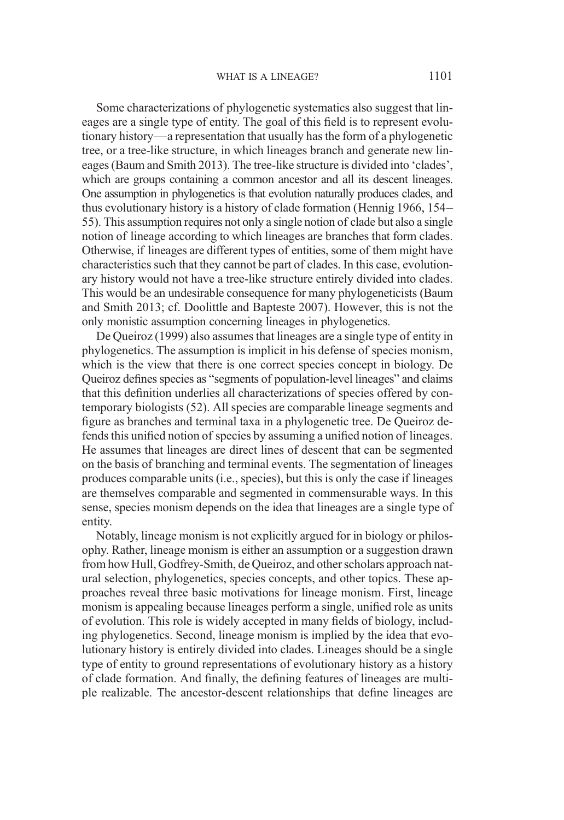Some characterizations of phylogenetic systematics also suggest that lineages are a single type of entity. The goal of this field is to represent evolutionary history—a representation that usually has the form of a phylogenetic tree, or a tree-like structure, in which lineages branch and generate new lineages (Baum and Smith 2013). The tree-like structure is divided into 'clades', which are groups containing a common ancestor and all its descent lineages. One assumption in phylogenetics is that evolution naturally produces clades, and thus evolutionary history is a history of clade formation (Hennig 1966, 154– 55). This assumption requires not only a single notion of clade but also a single notion of lineage according to which lineages are branches that form clades. Otherwise, if lineages are different types of entities, some of them might have characteristics such that they cannot be part of clades. In this case, evolutionary history would not have a tree-like structure entirely divided into clades. This would be an undesirable consequence for many phylogeneticists (Baum and Smith 2013; cf. Doolittle and Bapteste 2007). However, this is not the only monistic assumption concerning lineages in phylogenetics.

De Queiroz (1999) also assumes that lineages are a single type of entity in phylogenetics. The assumption is implicit in his defense of species monism, which is the view that there is one correct species concept in biology. De Queiroz defines species as "segments of population-level lineages" and claims that this definition underlies all characterizations of species offered by contemporary biologists (52). All species are comparable lineage segments and figure as branches and terminal taxa in a phylogenetic tree. De Queiroz defends this unified notion of species by assuming a unified notion of lineages. He assumes that lineages are direct lines of descent that can be segmented on the basis of branching and terminal events. The segmentation of lineages produces comparable units (i.e., species), but this is only the case if lineages are themselves comparable and segmented in commensurable ways. In this sense, species monism depends on the idea that lineages are a single type of entity.

Notably, lineage monism is not explicitly argued for in biology or philosophy. Rather, lineage monism is either an assumption or a suggestion drawn from how Hull, Godfrey-Smith, de Queiroz, and other scholars approach natural selection, phylogenetics, species concepts, and other topics. These approaches reveal three basic motivations for lineage monism. First, lineage monism is appealing because lineages perform a single, unified role as units of evolution. This role is widely accepted in many fields of biology, including phylogenetics. Second, lineage monism is implied by the idea that evolutionary history is entirely divided into clades. Lineages should be a single type of entity to ground representations of evolutionary history as a history of clade formation. And finally, the defining features of lineages are multiple realizable. The ancestor-descent relationships that define lineages are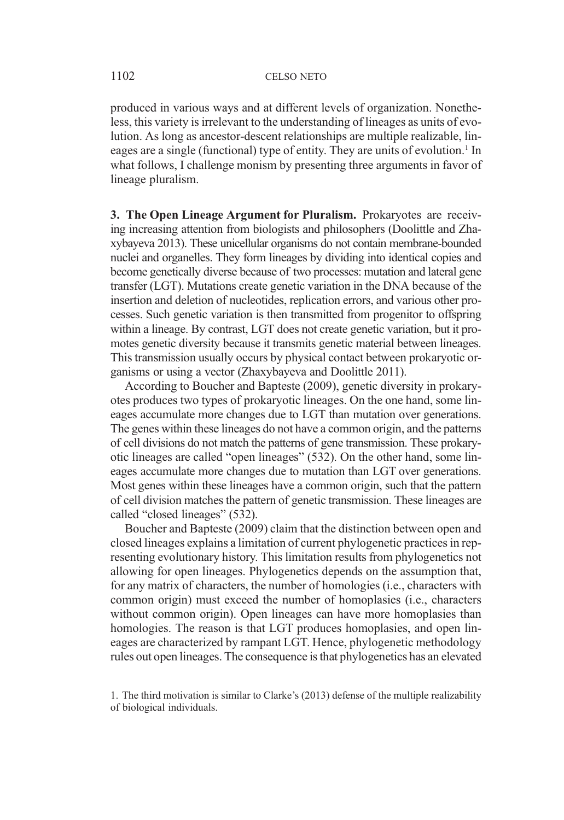produced in various ways and at different levels of organization. Nonetheless, this variety is irrelevant to the understanding of lineages as units of evolution. As long as ancestor-descent relationships are multiple realizable, lineages are a single (functional) type of entity. They are units of evolution.<sup>1</sup> In what follows, I challenge monism by presenting three arguments in favor of lineage pluralism.

3. The Open Lineage Argument for Pluralism. Prokaryotes are receiving increasing attention from biologists and philosophers (Doolittle and Zhaxybayeva 2013). These unicellular organisms do not contain membrane-bounded nuclei and organelles. They form lineages by dividing into identical copies and become genetically diverse because of two processes: mutation and lateral gene transfer (LGT). Mutations create genetic variation in the DNA because of the insertion and deletion of nucleotides, replication errors, and various other processes. Such genetic variation is then transmitted from progenitor to offspring within a lineage. By contrast, LGT does not create genetic variation, but it promotes genetic diversity because it transmits genetic material between lineages. This transmission usually occurs by physical contact between prokaryotic organisms or using a vector (Zhaxybayeva and Doolittle 2011).

According to Boucher and Bapteste (2009), genetic diversity in prokaryotes produces two types of prokaryotic lineages. On the one hand, some lineages accumulate more changes due to LGT than mutation over generations. The genes within these lineages do not have a common origin, and the patterns of cell divisions do not match the patterns of gene transmission. These prokaryotic lineages are called "open lineages" (532). On the other hand, some lineages accumulate more changes due to mutation than LGT over generations. Most genes within these lineages have a common origin, such that the pattern of cell division matches the pattern of genetic transmission. These lineages are called "closed lineages" (532).

Boucher and Bapteste (2009) claim that the distinction between open and closed lineages explains a limitation of current phylogenetic practices in representing evolutionary history. This limitation results from phylogenetics not allowing for open lineages. Phylogenetics depends on the assumption that, for any matrix of characters, the number of homologies (i.e., characters with common origin) must exceed the number of homoplasies (i.e., characters without common origin). Open lineages can have more homoplasies than homologies. The reason is that LGT produces homoplasies, and open lineages are characterized by rampant LGT. Hence, phylogenetic methodology rules out open lineages. The consequence is that phylogenetics has an elevated

<sup>1.</sup> The third motivation is similar to Clarke's (2013) defense of the multiple realizability of biological individuals.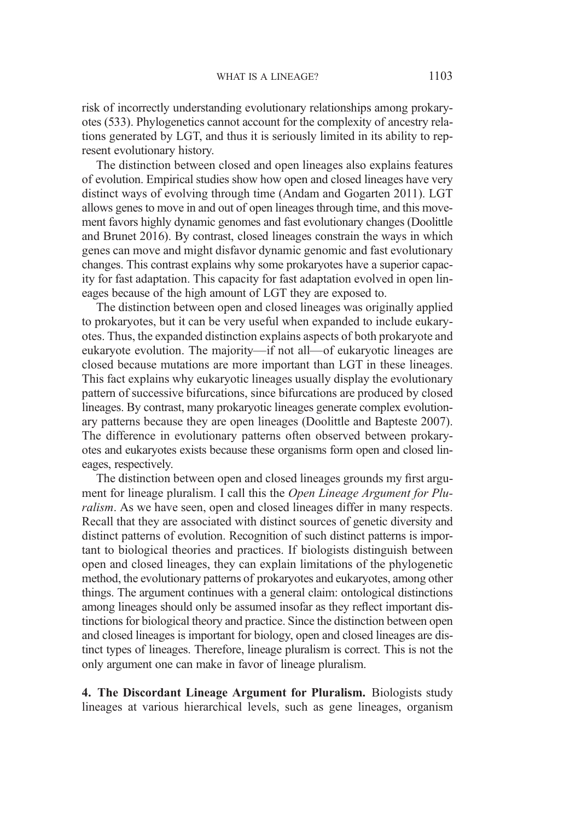risk of incorrectly understanding evolutionary relationships among prokaryotes (533). Phylogenetics cannot account for the complexity of ancestry relations generated by LGT, and thus it is seriously limited in its ability to represent evolutionary history.

The distinction between closed and open lineages also explains features of evolution. Empirical studies show how open and closed lineages have very distinct ways of evolving through time (Andam and Gogarten 2011). LGT allows genes to move in and out of open lineages through time, and this movement favors highly dynamic genomes and fast evolutionary changes (Doolittle and Brunet 2016). By contrast, closed lineages constrain the ways in which genes can move and might disfavor dynamic genomic and fast evolutionary changes. This contrast explains why some prokaryotes have a superior capacity for fast adaptation. This capacity for fast adaptation evolved in open lineages because of the high amount of LGT they are exposed to.

The distinction between open and closed lineages was originally applied to prokaryotes, but it can be very useful when expanded to include eukaryotes. Thus, the expanded distinction explains aspects of both prokaryote and eukaryote evolution. The majority—if not all—of eukaryotic lineages are closed because mutations are more important than LGT in these lineages. This fact explains why eukaryotic lineages usually display the evolutionary pattern of successive bifurcations, since bifurcations are produced by closed lineages. By contrast, many prokaryotic lineages generate complex evolutionary patterns because they are open lineages (Doolittle and Bapteste 2007). The difference in evolutionary patterns often observed between prokaryotes and eukaryotes exists because these organisms form open and closed lineages, respectively.

The distinction between open and closed lineages grounds my first argument for lineage pluralism. I call this the Open Lineage Argument for Pluralism. As we have seen, open and closed lineages differ in many respects. Recall that they are associated with distinct sources of genetic diversity and distinct patterns of evolution. Recognition of such distinct patterns is important to biological theories and practices. If biologists distinguish between open and closed lineages, they can explain limitations of the phylogenetic method, the evolutionary patterns of prokaryotes and eukaryotes, among other things. The argument continues with a general claim: ontological distinctions among lineages should only be assumed insofar as they reflect important distinctions for biological theory and practice. Since the distinction between open and closed lineages is important for biology, open and closed lineages are distinct types of lineages. Therefore, lineage pluralism is correct. This is not the only argument one can make in favor of lineage pluralism.

4. The Discordant Lineage Argument for Pluralism. Biologists study lineages at various hierarchical levels, such as gene lineages, organism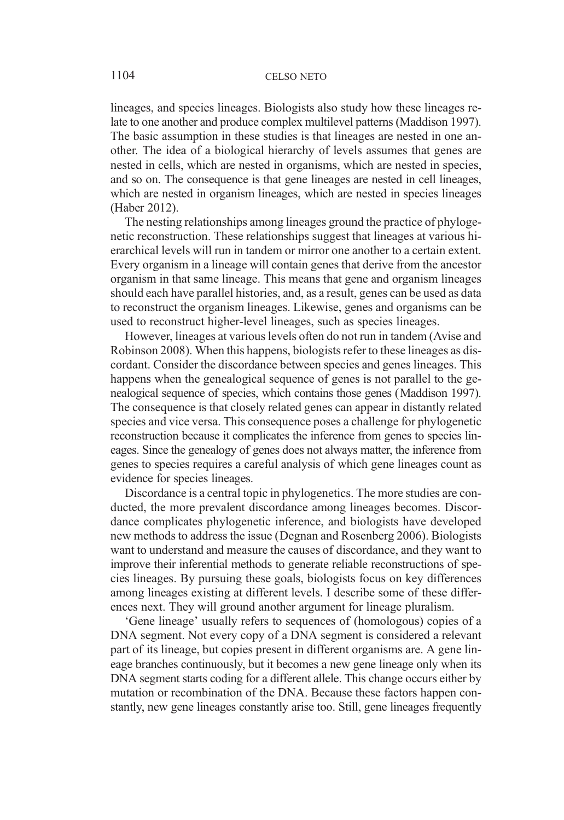lineages, and species lineages. Biologists also study how these lineages relate to one another and produce complex multilevel patterns (Maddison 1997). The basic assumption in these studies is that lineages are nested in one another. The idea of a biological hierarchy of levels assumes that genes are nested in cells, which are nested in organisms, which are nested in species, and so on. The consequence is that gene lineages are nested in cell lineages, which are nested in organism lineages, which are nested in species lineages (Haber 2012).

The nesting relationships among lineages ground the practice of phylogenetic reconstruction. These relationships suggest that lineages at various hierarchical levels will run in tandem or mirror one another to a certain extent. Every organism in a lineage will contain genes that derive from the ancestor organism in that same lineage. This means that gene and organism lineages should each have parallel histories, and, as a result, genes can be used as data to reconstruct the organism lineages. Likewise, genes and organisms can be used to reconstruct higher-level lineages, such as species lineages.

However, lineages at various levels often do not run in tandem (Avise and Robinson 2008). When this happens, biologists refer to these lineages as discordant. Consider the discordance between species and genes lineages. This happens when the genealogical sequence of genes is not parallel to the genealogical sequence of species, which contains those genes (Maddison 1997). The consequence is that closely related genes can appear in distantly related species and vice versa. This consequence poses a challenge for phylogenetic reconstruction because it complicates the inference from genes to species lineages. Since the genealogy of genes does not always matter, the inference from genes to species requires a careful analysis of which gene lineages count as evidence for species lineages.

Discordance is a central topic in phylogenetics. The more studies are conducted, the more prevalent discordance among lineages becomes. Discordance complicates phylogenetic inference, and biologists have developed new methods to address the issue (Degnan and Rosenberg 2006). Biologists want to understand and measure the causes of discordance, and they want to improve their inferential methods to generate reliable reconstructions of species lineages. By pursuing these goals, biologists focus on key differences among lineages existing at different levels. I describe some of these differences next. They will ground another argument for lineage pluralism.

'Gene lineage' usually refers to sequences of (homologous) copies of a DNA segment. Not every copy of a DNA segment is considered a relevant part of its lineage, but copies present in different organisms are. A gene lineage branches continuously, but it becomes a new gene lineage only when its DNA segment starts coding for a different allele. This change occurs either by mutation or recombination of the DNA. Because these factors happen constantly, new gene lineages constantly arise too. Still, gene lineages frequently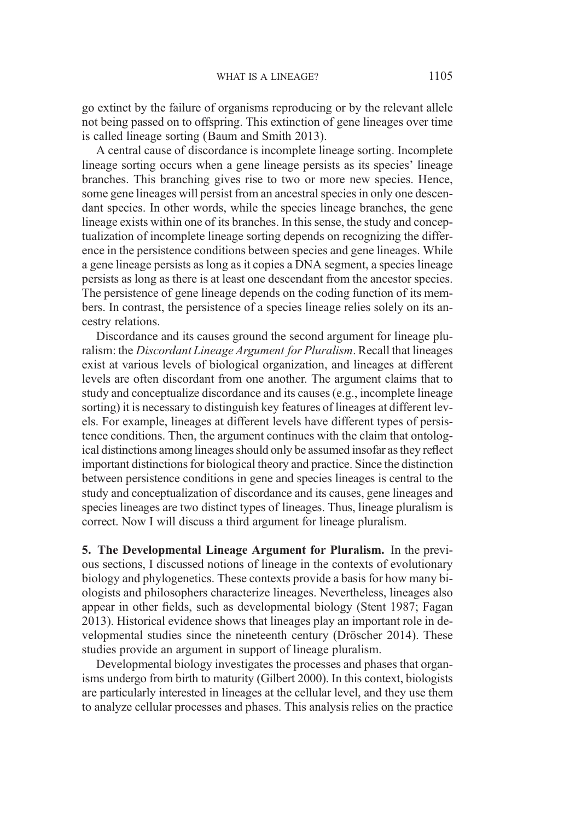go extinct by the failure of organisms reproducing or by the relevant allele not being passed on to offspring. This extinction of gene lineages over time is called lineage sorting (Baum and Smith 2013).

A central cause of discordance is incomplete lineage sorting. Incomplete lineage sorting occurs when a gene lineage persists as its species' lineage branches. This branching gives rise to two or more new species. Hence, some gene lineages will persist from an ancestral species in only one descendant species. In other words, while the species lineage branches, the gene lineage exists within one of its branches. In this sense, the study and conceptualization of incomplete lineage sorting depends on recognizing the difference in the persistence conditions between species and gene lineages. While a gene lineage persists as long as it copies a DNA segment, a species lineage persists as long as there is at least one descendant from the ancestor species. The persistence of gene lineage depends on the coding function of its members. In contrast, the persistence of a species lineage relies solely on its ancestry relations.

Discordance and its causes ground the second argument for lineage pluralism: the Discordant Lineage Argument for Pluralism. Recall that lineages exist at various levels of biological organization, and lineages at different levels are often discordant from one another. The argument claims that to study and conceptualize discordance and its causes (e.g., incomplete lineage sorting) it is necessary to distinguish key features of lineages at different levels. For example, lineages at different levels have different types of persistence conditions. Then, the argument continues with the claim that ontological distinctions among lineages should only be assumed insofar as they reflect important distinctions for biological theory and practice. Since the distinction between persistence conditions in gene and species lineages is central to the study and conceptualization of discordance and its causes, gene lineages and species lineages are two distinct types of lineages. Thus, lineage pluralism is correct. Now I will discuss a third argument for lineage pluralism.

5. The Developmental Lineage Argument for Pluralism. In the previous sections, I discussed notions of lineage in the contexts of evolutionary biology and phylogenetics. These contexts provide a basis for how many biologists and philosophers characterize lineages. Nevertheless, lineages also appear in other fields, such as developmental biology (Stent 1987; Fagan 2013). Historical evidence shows that lineages play an important role in developmental studies since the nineteenth century (Dröscher 2014). These studies provide an argument in support of lineage pluralism.

Developmental biology investigates the processes and phases that organisms undergo from birth to maturity (Gilbert 2000). In this context, biologists are particularly interested in lineages at the cellular level, and they use them to analyze cellular processes and phases. This analysis relies on the practice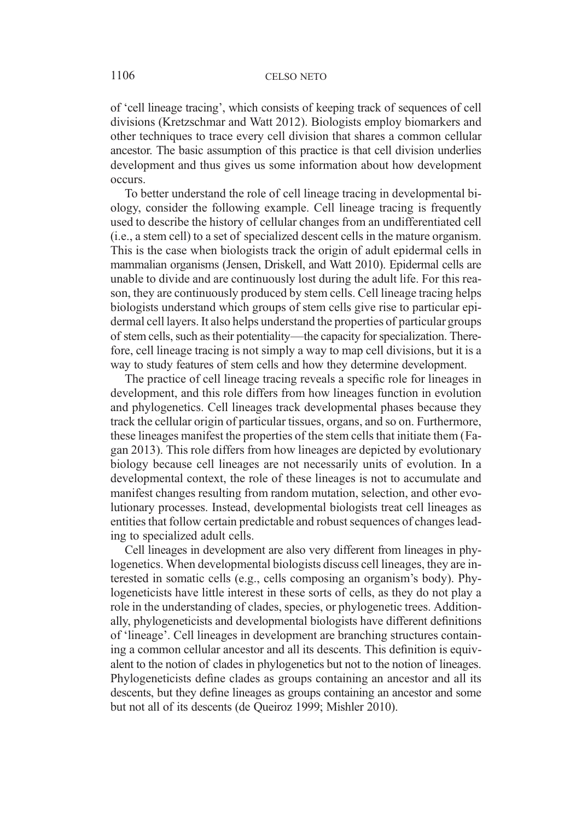of 'cell lineage tracing', which consists of keeping track of sequences of cell divisions (Kretzschmar and Watt 2012). Biologists employ biomarkers and other techniques to trace every cell division that shares a common cellular ancestor. The basic assumption of this practice is that cell division underlies development and thus gives us some information about how development occurs.

To better understand the role of cell lineage tracing in developmental biology, consider the following example. Cell lineage tracing is frequently used to describe the history of cellular changes from an undifferentiated cell (i.e., a stem cell) to a set of specialized descent cells in the mature organism. This is the case when biologists track the origin of adult epidermal cells in mammalian organisms (Jensen, Driskell, and Watt 2010). Epidermal cells are unable to divide and are continuously lost during the adult life. For this reason, they are continuously produced by stem cells. Cell lineage tracing helps biologists understand which groups of stem cells give rise to particular epidermal cell layers. It also helps understand the properties of particular groups of stem cells, such as their potentiality—the capacity for specialization. Therefore, cell lineage tracing is not simply a way to map cell divisions, but it is a way to study features of stem cells and how they determine development.

The practice of cell lineage tracing reveals a specific role for lineages in development, and this role differs from how lineages function in evolution and phylogenetics. Cell lineages track developmental phases because they track the cellular origin of particular tissues, organs, and so on. Furthermore, these lineages manifest the properties of the stem cells that initiate them (Fagan 2013). This role differs from how lineages are depicted by evolutionary biology because cell lineages are not necessarily units of evolution. In a developmental context, the role of these lineages is not to accumulate and manifest changes resulting from random mutation, selection, and other evolutionary processes. Instead, developmental biologists treat cell lineages as entities that follow certain predictable and robust sequences of changes leading to specialized adult cells.

Cell lineages in development are also very different from lineages in phylogenetics. When developmental biologists discuss cell lineages, they are interested in somatic cells (e.g., cells composing an organism's body). Phylogeneticists have little interest in these sorts of cells, as they do not play a role in the understanding of clades, species, or phylogenetic trees. Additionally, phylogeneticists and developmental biologists have different definitions of 'lineage'. Cell lineages in development are branching structures containing a common cellular ancestor and all its descents. This definition is equivalent to the notion of clades in phylogenetics but not to the notion of lineages. Phylogeneticists define clades as groups containing an ancestor and all its descents, but they define lineages as groups containing an ancestor and some but not all of its descents (de Queiroz 1999; Mishler 2010).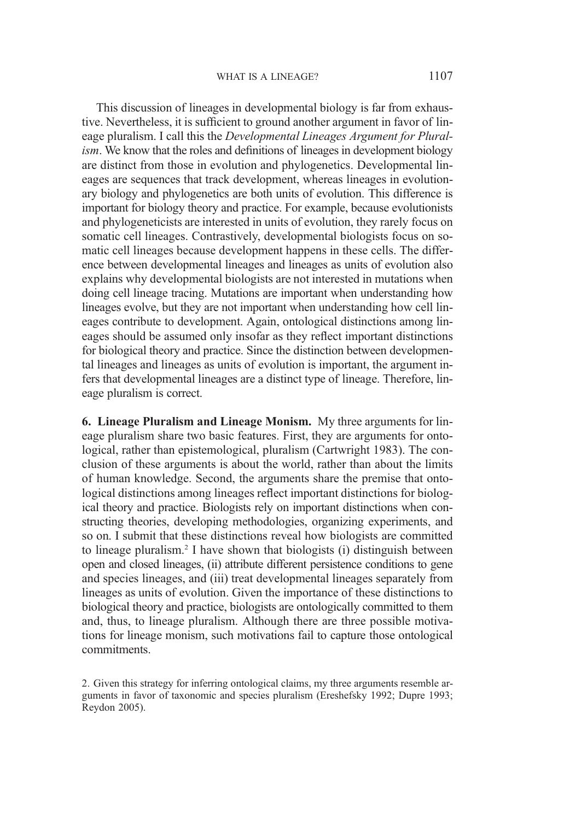This discussion of lineages in developmental biology is far from exhaustive. Nevertheless, it is sufficient to ground another argument in favor of lineage pluralism. I call this the Developmental Lineages Argument for Pluralism. We know that the roles and definitions of lineages in development biology are distinct from those in evolution and phylogenetics. Developmental lineages are sequences that track development, whereas lineages in evolutionary biology and phylogenetics are both units of evolution. This difference is important for biology theory and practice. For example, because evolutionists and phylogeneticists are interested in units of evolution, they rarely focus on somatic cell lineages. Contrastively, developmental biologists focus on somatic cell lineages because development happens in these cells. The difference between developmental lineages and lineages as units of evolution also explains why developmental biologists are not interested in mutations when doing cell lineage tracing. Mutations are important when understanding how lineages evolve, but they are not important when understanding how cell lineages contribute to development. Again, ontological distinctions among lineages should be assumed only insofar as they reflect important distinctions for biological theory and practice. Since the distinction between developmental lineages and lineages as units of evolution is important, the argument infers that developmental lineages are a distinct type of lineage. Therefore, lineage pluralism is correct.

6. Lineage Pluralism and Lineage Monism. My three arguments for lineage pluralism share two basic features. First, they are arguments for ontological, rather than epistemological, pluralism (Cartwright 1983). The conclusion of these arguments is about the world, rather than about the limits of human knowledge. Second, the arguments share the premise that ontological distinctions among lineages reflect important distinctions for biological theory and practice. Biologists rely on important distinctions when constructing theories, developing methodologies, organizing experiments, and so on. I submit that these distinctions reveal how biologists are committed to lineage pluralism.2 I have shown that biologists (i) distinguish between open and closed lineages, (ii) attribute different persistence conditions to gene and species lineages, and (iii) treat developmental lineages separately from lineages as units of evolution. Given the importance of these distinctions to biological theory and practice, biologists are ontologically committed to them and, thus, to lineage pluralism. Although there are three possible motivations for lineage monism, such motivations fail to capture those ontological commitments.

2. Given this strategy for inferring ontological claims, my three arguments resemble arguments in favor of taxonomic and species pluralism (Ereshefsky 1992; Dupre 1993; Reydon 2005).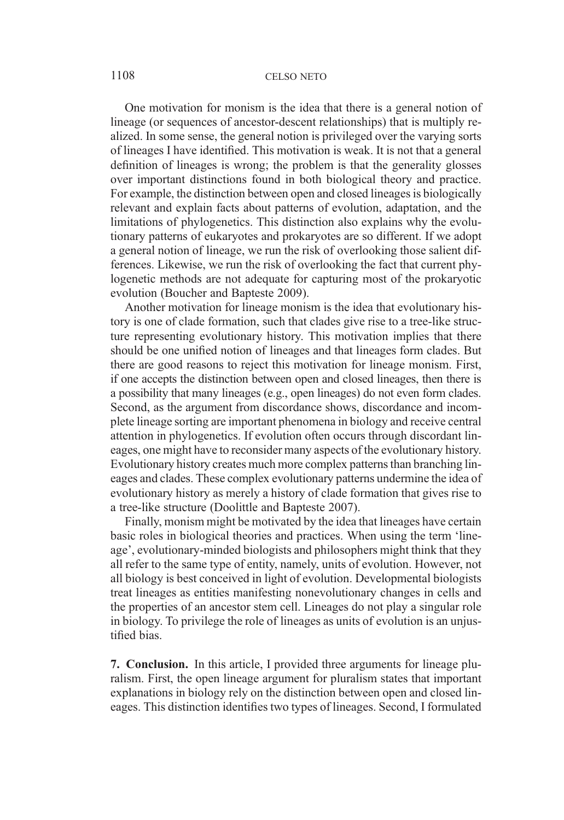#### 1108 CELSO NETO

One motivation for monism is the idea that there is a general notion of lineage (or sequences of ancestor-descent relationships) that is multiply realized. In some sense, the general notion is privileged over the varying sorts of lineages I have identified. This motivation is weak. It is not that a general definition of lineages is wrong; the problem is that the generality glosses over important distinctions found in both biological theory and practice. For example, the distinction between open and closed lineages is biologically relevant and explain facts about patterns of evolution, adaptation, and the limitations of phylogenetics. This distinction also explains why the evolutionary patterns of eukaryotes and prokaryotes are so different. If we adopt a general notion of lineage, we run the risk of overlooking those salient differences. Likewise, we run the risk of overlooking the fact that current phylogenetic methods are not adequate for capturing most of the prokaryotic evolution (Boucher and Bapteste 2009).

Another motivation for lineage monism is the idea that evolutionary history is one of clade formation, such that clades give rise to a tree-like structure representing evolutionary history. This motivation implies that there should be one unified notion of lineages and that lineages form clades. But there are good reasons to reject this motivation for lineage monism. First, if one accepts the distinction between open and closed lineages, then there is a possibility that many lineages (e.g., open lineages) do not even form clades. Second, as the argument from discordance shows, discordance and incomplete lineage sorting are important phenomena in biology and receive central attention in phylogenetics. If evolution often occurs through discordant lineages, one might have to reconsider many aspects of the evolutionary history. Evolutionary history creates much more complex patterns than branching lineages and clades. These complex evolutionary patterns undermine the idea of evolutionary history as merely a history of clade formation that gives rise to a tree-like structure (Doolittle and Bapteste 2007).

Finally, monism might be motivated by the idea that lineages have certain basic roles in biological theories and practices. When using the term 'lineage', evolutionary-minded biologists and philosophers might think that they all refer to the same type of entity, namely, units of evolution. However, not all biology is best conceived in light of evolution. Developmental biologists treat lineages as entities manifesting nonevolutionary changes in cells and the properties of an ancestor stem cell. Lineages do not play a singular role in biology. To privilege the role of lineages as units of evolution is an unjustified bias.

7. Conclusion. In this article, I provided three arguments for lineage pluralism. First, the open lineage argument for pluralism states that important explanations in biology rely on the distinction between open and closed lineages. This distinction identifies two types of lineages. Second, I formulated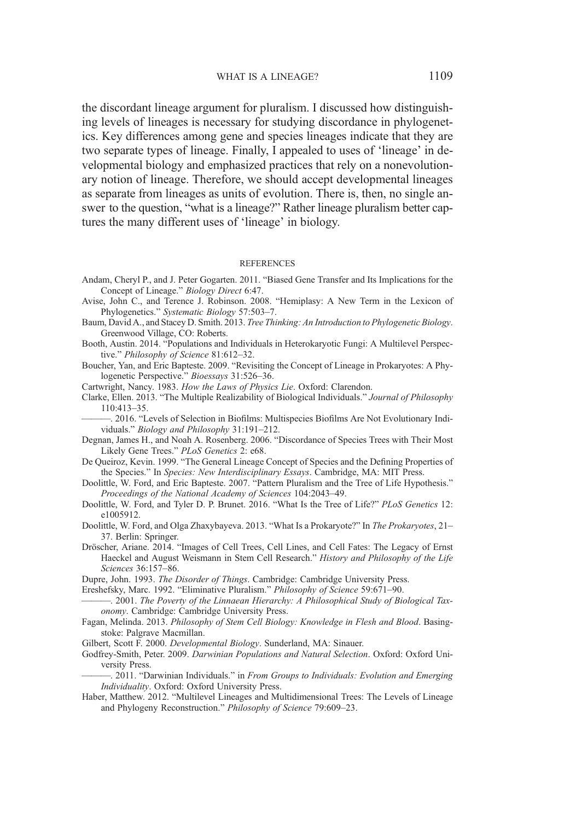the discordant lineage argument for pluralism. I discussed how distinguishing levels of lineages is necessary for studying discordance in phylogenetics. Key differences among gene and species lineages indicate that they are two separate types of lineage. Finally, I appealed to uses of 'lineage' in developmental biology and emphasized practices that rely on a nonevolutionary notion of lineage. Therefore, we should accept developmental lineages as separate from lineages as units of evolution. There is, then, no single answer to the question, "what is a lineage?" Rather lineage pluralism better captures the many different uses of 'lineage' in biology.

#### **REFERENCES**

- Andam, Cheryl P., and J. Peter Gogarten. 2011. "Biased Gene Transfer and Its Implications for the Concept of Lineage." Biology Direct 6:47.
- Avise, John C., and Terence J. Robinson. 2008. "Hemiplasy: A New Term in the Lexicon of Phylogenetics." Systematic Biology 57:503–7.
- Baum, David A., and Stacey D. Smith. 2013. Tree Thinking: An Introduction to Phylogenetic Biology. Greenwood Village, CO: Roberts.
- Booth, Austin. 2014. "Populations and Individuals in Heterokaryotic Fungi: A Multilevel Perspective." Philosophy of Science 81:612–32.
- Boucher, Yan, and Eric Bapteste. 2009. "Revisiting the Concept of Lineage in Prokaryotes: A Phylogenetic Perspective." Bioessays 31:526–36.

Cartwright, Nancy. 1983. How the Laws of Physics Lie. Oxford: Clarendon.

- Clarke, Ellen. 2013. "The Multiple Realizability of Biological Individuals." Journal of Philosophy 110:413–35.
- ———. 2016. "Levels of Selection in Biofilms: Multispecies Biofilms Are Not Evolutionary Individuals." Biology and Philosophy 31:191–212.
- Degnan, James H., and Noah A. Rosenberg. 2006. "Discordance of Species Trees with Their Most Likely Gene Trees." PLoS Genetics 2: e68.
- De Queiroz, Kevin. 1999. "The General Lineage Concept of Species and the Defining Properties of the Species." In Species: New Interdisciplinary Essays. Cambridge, MA: MIT Press.
- Doolittle, W. Ford, and Eric Bapteste. 2007. "Pattern Pluralism and the Tree of Life Hypothesis." Proceedings of the National Academy of Sciences 104:2043–49.
- Doolittle, W. Ford, and Tyler D. P. Brunet. 2016. "What Is the Tree of Life?" PLoS Genetics 12: e1005912.
- Doolittle, W. Ford, and Olga Zhaxybayeva. 2013. "What Is a Prokaryote?" In The Prokaryotes, 21– 37. Berlin: Springer.
- Dröscher, Ariane. 2014. "Images of Cell Trees, Cell Lines, and Cell Fates: The Legacy of Ernst Haeckel and August Weismann in Stem Cell Research." History and Philosophy of the Life Sciences 36:157–86.

Dupre, John. 1993. The Disorder of Things. Cambridge: Cambridge University Press.

Ereshefsky, Marc. 1992. "Eliminative Pluralism." Philosophy of Science 59:671–90.

-. 2001. The Poverty of the Linnaean Hierarchy: A Philosophical Study of Biological Taxonomy. Cambridge: Cambridge University Press.

- Fagan, Melinda. 2013. Philosophy of Stem Cell Biology: Knowledge in Flesh and Blood. Basingstoke: Palgrave Macmillan.
- Gilbert, Scott F. 2000. Developmental Biology. Sunderland, MA: Sinauer.
- Godfrey-Smith, Peter. 2009. Darwinian Populations and Natural Selection. Oxford: Oxford University Press.

-. 2011. "Darwinian Individuals." in From Groups to Individuals: Evolution and Emerging Individuality. Oxford: Oxford University Press.

Haber, Matthew. 2012. "Multilevel Lineages and Multidimensional Trees: The Levels of Lineage and Phylogeny Reconstruction." Philosophy of Science 79:609–23.